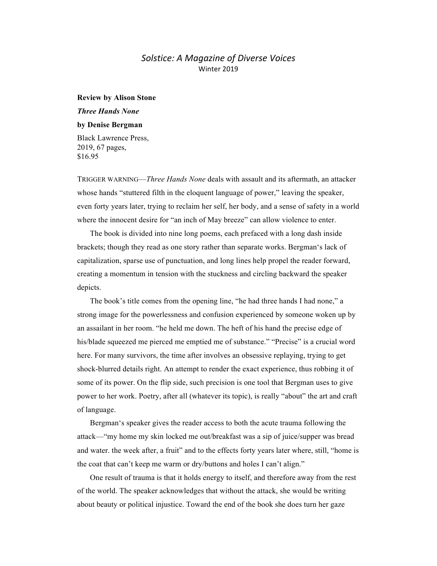## *Solstice: A Magazine of Diverse Voices* Winter 2019

## **Review by Alison Stone**

## *Three Hands None*

## **by Denise Bergman**

Black Lawrence Press, 2019, 67 pages, \$16.95

TRIGGER WARNING—*Three Hands None* deals with assault and its aftermath, an attacker whose hands "stuttered filth in the eloquent language of power," leaving the speaker, even forty years later, trying to reclaim her self, her body, and a sense of safety in a world where the innocent desire for "an inch of May breeze" can allow violence to enter.

The book is divided into nine long poems, each prefaced with a long dash inside brackets; though they read as one story rather than separate works. Bergman's lack of capitalization, sparse use of punctuation, and long lines help propel the reader forward, creating a momentum in tension with the stuckness and circling backward the speaker depicts.

The book's title comes from the opening line, "he had three hands I had none," a strong image for the powerlessness and confusion experienced by someone woken up by an assailant in her room. "he held me down. The heft of his hand the precise edge of his/blade squeezed me pierced me emptied me of substance." "Precise" is a crucial word here. For many survivors, the time after involves an obsessive replaying, trying to get shock-blurred details right. An attempt to render the exact experience, thus robbing it of some of its power. On the flip side, such precision is one tool that Bergman uses to give power to her work. Poetry, after all (whatever its topic), is really "about" the art and craft of language.

Bergman's speaker gives the reader access to both the acute trauma following the attack—"my home my skin locked me out/breakfast was a sip of juice/supper was bread and water. the week after, a fruit" and to the effects forty years later where, still, "home is the coat that can't keep me warm or dry/buttons and holes I can't align."

One result of trauma is that it holds energy to itself, and therefore away from the rest of the world. The speaker acknowledges that without the attack, she would be writing about beauty or political injustice. Toward the end of the book she does turn her gaze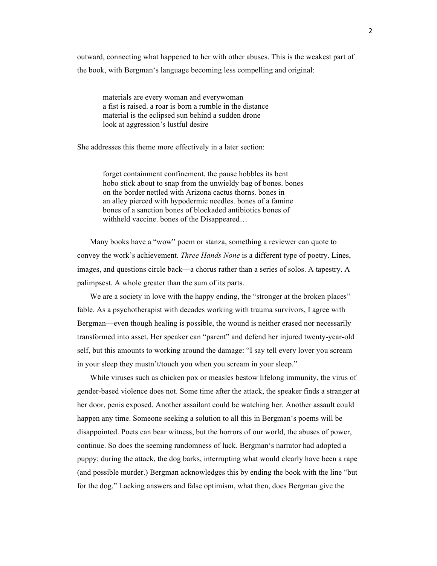outward, connecting what happened to her with other abuses. This is the weakest part of the book, with Bergman's language becoming less compelling and original:

materials are every woman and everywoman a fist is raised. a roar is born a rumble in the distance material is the eclipsed sun behind a sudden drone look at aggression's lustful desire

She addresses this theme more effectively in a later section:

forget containment confinement. the pause hobbles its bent hobo stick about to snap from the unwieldy bag of bones. bones on the border nettled with Arizona cactus thorns. bones in an alley pierced with hypodermic needles. bones of a famine bones of a sanction bones of blockaded antibiotics bones of withheld vaccine. bones of the Disappeared…

Many books have a "wow" poem or stanza, something a reviewer can quote to convey the work's achievement. *Three Hands None* is a different type of poetry. Lines, images, and questions circle back—a chorus rather than a series of solos. A tapestry. A palimpsest. A whole greater than the sum of its parts.

We are a society in love with the happy ending, the "stronger at the broken places" fable. As a psychotherapist with decades working with trauma survivors, I agree with Bergman—even though healing is possible, the wound is neither erased nor necessarily transformed into asset. Her speaker can "parent" and defend her injured twenty-year-old self, but this amounts to working around the damage: "I say tell every lover you scream in your sleep they mustn't/touch you when you scream in your sleep."

While viruses such as chicken pox or measles bestow lifelong immunity, the virus of gender-based violence does not. Some time after the attack, the speaker finds a stranger at her door, penis exposed. Another assailant could be watching her. Another assault could happen any time. Someone seeking a solution to all this in Bergman's poems will be disappointed. Poets can bear witness, but the horrors of our world, the abuses of power, continue. So does the seeming randomness of luck. Bergman's narrator had adopted a puppy; during the attack, the dog barks, interrupting what would clearly have been a rape (and possible murder.) Bergman acknowledges this by ending the book with the line "but for the dog." Lacking answers and false optimism, what then, does Bergman give the